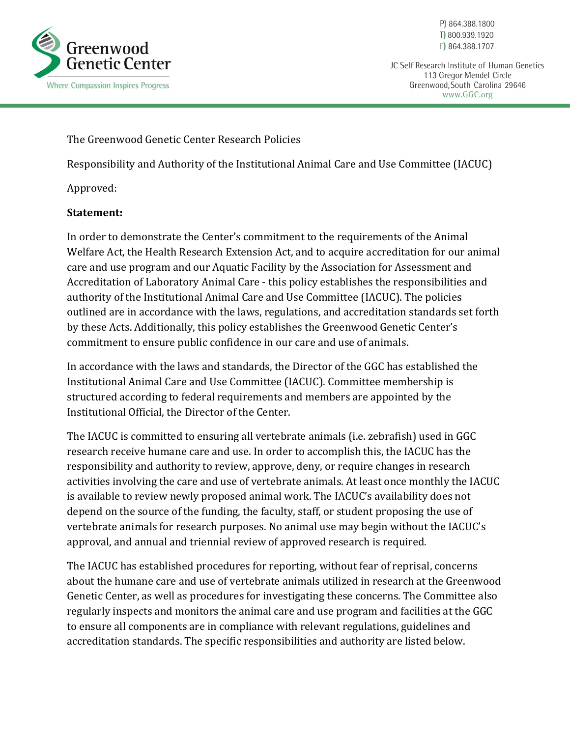

P) 864.388.1800 T) 800.939.1920 F) 864.388.1707

JC Self Research Institute of Human Genetics 113 Gregor Mendel Circle Greenwood, South Carolina 29646 www.GGC.org

The Greenwood Genetic Center Research Policies

Responsibility and Authority of the Institutional Animal Care and Use Committee (IACUC)

Approved:

## **Statement:**

In order to demonstrate the Center's commitment to the requirements of the Animal Welfare Act, the Health Research Extension Act, and to acquire accreditation for our animal care and use program and our Aquatic Facility by the Association for Assessment and Accreditation of Laboratory Animal Care - this policy establishes the responsibilities and authority of the Institutional Animal Care and Use Committee (IACUC). The policies outlined are in accordance with the laws, regulations, and accreditation standards set forth by these Acts. Additionally, this policy establishes the Greenwood Genetic Center's commitment to ensure public confidence in our care and use of animals.

In accordance with the laws and standards, the Director of the GGC has established the Institutional Animal Care and Use Committee (IACUC). Committee membership is structured according to federal requirements and members are appointed by the Institutional Official, the Director of the Center.

The IACUC is committed to ensuring all vertebrate animals (i.e. zebrafish) used in GGC research receive humane care and use. In order to accomplish this, the IACUC has the responsibility and authority to review, approve, deny, or require changes in research activities involving the care and use of vertebrate animals. At least once monthly the IACUC is available to review newly proposed animal work. The IACUC's availability does not depend on the source of the funding, the faculty, staff, or student proposing the use of vertebrate animals for research purposes. No animal use may begin without the IACUC's approval, and annual and triennial review of approved research is required.

The IACUC has established procedures for reporting, without fear of reprisal, concerns about the humane care and use of vertebrate animals utilized in research at the Greenwood Genetic Center, as well as procedures for investigating these concerns. The Committee also regularly inspects and monitors the animal care and use program and facilities at the GGC to ensure all components are in compliance with relevant regulations, guidelines and accreditation standards. The specific responsibilities and authority are listed below.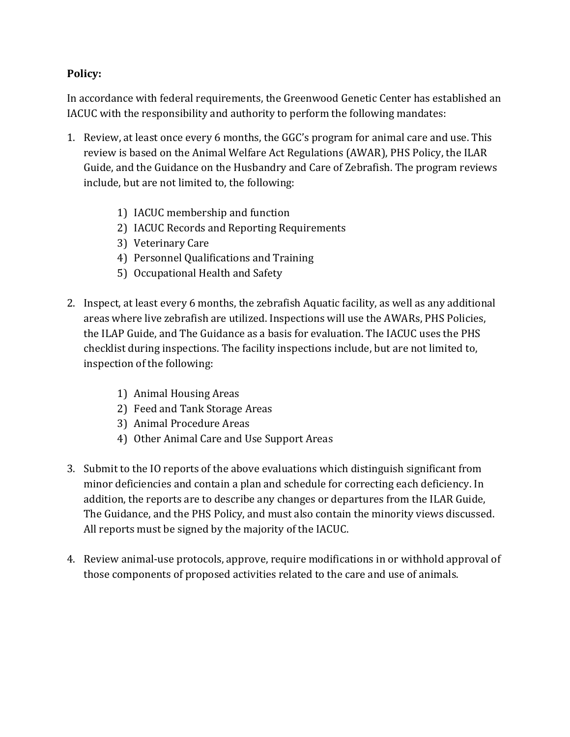## **Policy:**

In accordance with federal requirements, the Greenwood Genetic Center has established an IACUC with the responsibility and authority to perform the following mandates:

- 1. Review, at least once every 6 months, the GGC's program for animal care and use. This review is based on the Animal Welfare Act Regulations (AWAR), PHS Policy, the ILAR Guide, and the Guidance on the Husbandry and Care of Zebrafish. The program reviews include, but are not limited to, the following:
	- 1) IACUC membership and function
	- 2) IACUC Records and Reporting Requirements
	- 3) Veterinary Care
	- 4) Personnel Qualifications and Training
	- 5) Occupational Health and Safety
- 2. Inspect, at least every 6 months, the zebrafish Aquatic facility, as well as any additional areas where live zebrafish are utilized. Inspections will use the AWARs, PHS Policies, the ILAP Guide, and The Guidance as a basis for evaluation. The IACUC uses the PHS checklist during inspections. The facility inspections include, but are not limited to, inspection of the following:
	- 1) Animal Housing Areas
	- 2) Feed and Tank Storage Areas
	- 3) Animal Procedure Areas
	- 4) Other Animal Care and Use Support Areas
- 3. Submit to the IO reports of the above evaluations which distinguish significant from minor deficiencies and contain a plan and schedule for correcting each deficiency. In addition, the reports are to describe any changes or departures from the ILAR Guide, The Guidance, and the PHS Policy, and must also contain the minority views discussed. All reports must be signed by the majority of the IACUC.
- 4. Review animal-use protocols, approve, require modifications in or withhold approval of those components of proposed activities related to the care and use of animals.